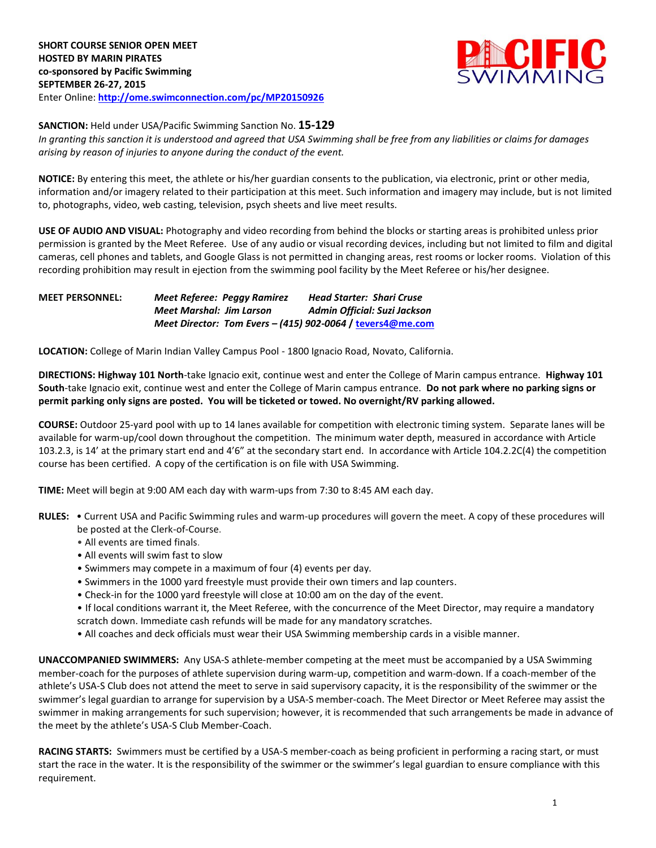

**SANCTION:** Held under USA/Pacific Swimming Sanction No. **15-129**

*In granting this sanction it is understood and agreed that USA Swimming shall be free from any liabilities or claims for damages arising by reason of injuries to anyone during the conduct of the event.*

**NOTICE:** By entering this meet, the athlete or his/her guardian consents to the publication, via electronic, print or other media, information and/or imagery related to their participation at this meet. Such information and imagery may include, but is not limited to, photographs, video, web casting, television, psych sheets and live meet results.

**USE OF AUDIO AND VISUAL:** Photography and video recording from behind the blocks or starting areas is prohibited unless prior permission is granted by the Meet Referee. Use of any audio or visual recording devices, including but not limited to film and digital cameras, cell phones and tablets, and Google Glass is not permitted in changing areas, rest rooms or locker rooms. Violation of this recording prohibition may result in ejection from the swimming pool facility by the Meet Referee or his/her designee.

**MEET PERSONNEL:** *Meet Referee: Peggy Ramirez Head Starter: Shari Cruse Meet Marshal: Jim Larson Admin Official: Suzi Jackson Meet Director: Tom Evers – (415) 902-0064* **/ [tevers4@me.com](mailto:tevers4@me.com)**

**LOCATION:** College of Marin Indian Valley Campus Pool - 1800 Ignacio Road, Novato, California.

**DIRECTIONS: Highway 101 North**-take Ignacio exit, continue west and enter the College of Marin campus entrance. **Highway 101 South**-take Ignacio exit, continue west and enter the College of Marin campus entrance. **Do not park where no parking signs or permit parking only signs are posted. You will be ticketed or towed. No overnight/RV parking allowed.**

**COURSE:** Outdoor 25-yard pool with up to 14 lanes available for competition with electronic timing system. Separate lanes will be available for warm-up/cool down throughout the competition. The minimum water depth, measured in accordance with Article 103.2.3, is 14' at the primary start end and 4'6" at the secondary start end. In accordance with Article 104.2.2C(4) the competition course has been certified. A copy of the certification is on file with USA Swimming.

**TIME:** Meet will begin at 9:00 AM each day with warm-ups from 7:30 to 8:45 AM each day.

- **RULES:** Current USA and Pacific Swimming rules and warm-up procedures will govern the meet. A copy of these procedures will be posted at the Clerk-of-Course.
	- All events are timed finals.
	- All events will swim fast to slow
	- Swimmers may compete in a maximum of four (4) events per day.
	- Swimmers in the 1000 yard freestyle must provide their own timers and lap counters.
	- Check-in for the 1000 yard freestyle will close at 10:00 am on the day of the event.
	- If local conditions warrant it, the Meet Referee, with the concurrence of the Meet Director, may require a mandatory scratch down. Immediate cash refunds will be made for any mandatory scratches.
	- All coaches and deck officials must wear their USA Swimming membership cards in a visible manner.

**UNACCOMPANIED SWIMMERS:** Any USA-S athlete-member competing at the meet must be accompanied by a USA Swimming member-coach for the purposes of athlete supervision during warm-up, competition and warm-down. If a coach-member of the athlete's USA-S Club does not attend the meet to serve in said supervisory capacity, it is the responsibility of the swimmer or the swimmer's legal guardian to arrange for supervision by a USA-S member-coach. The Meet Director or Meet Referee may assist the swimmer in making arrangements for such supervision; however, it is recommended that such arrangements be made in advance of the meet by the athlete's USA-S Club Member-Coach.

**RACING STARTS:** Swimmers must be certified by a USA-S member-coach as being proficient in performing a racing start, or must start the race in the water. It is the responsibility of the swimmer or the swimmer's legal guardian to ensure compliance with this requirement.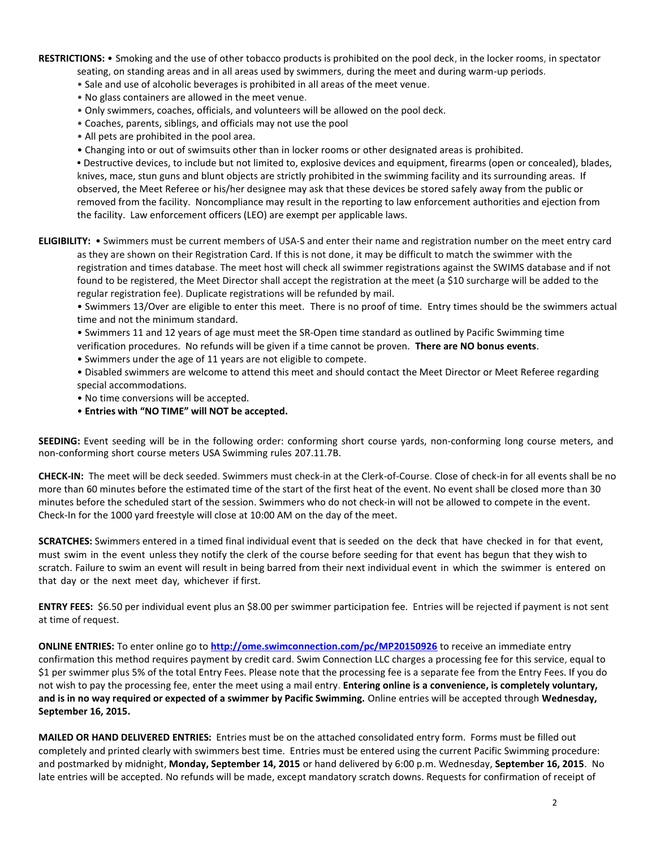**RESTRICTIONS:** • Smoking and the use of other tobacco products is prohibited on the pool deck, in the locker rooms, in spectator seating, on standing areas and in all areas used by swimmers, during the meet and during warm-up periods.

• Sale and use of alcoholic beverages is prohibited in all areas of the meet venue.

- No glass containers are allowed in the meet venue.
- Only swimmers, coaches, officials, and volunteers will be allowed on the pool deck.
- Coaches, parents, siblings, and officials may not use the pool
- All pets are prohibited in the pool area.
- Changing into or out of swimsuits other than in locker rooms or other designated areas is prohibited.

**•** Destructive devices, to include but not limited to, explosive devices and equipment, firearms (open or concealed), blades, knives, mace, stun guns and blunt objects are strictly prohibited in the swimming facility and its surrounding areas. If observed, the Meet Referee or his/her designee may ask that these devices be stored safely away from the public or removed from the facility. Noncompliance may result in the reporting to law enforcement authorities and ejection from the facility. Law enforcement officers (LEO) are exempt per applicable laws.

**ELIGIBILITY:** • Swimmers must be current members of USA-S and enter their name and registration number on the meet entry card as they are shown on their Registration Card. If this is not done, it may be difficult to match the swimmer with the registration and times database. The meet host will check all swimmer registrations against the SWIMS database and if not found to be registered, the Meet Director shall accept the registration at the meet (a \$10 surcharge will be added to the regular registration fee). Duplicate registrations will be refunded by mail.

• Swimmers 13/Over are eligible to enter this meet. There is no proof of time. Entry times should be the swimmers actual time and not the minimum standard.

• Swimmers 11 and 12 years of age must meet the SR-Open time standard as outlined by Pacific Swimming time verification procedures. No refunds will be given if a time cannot be proven. **There are NO bonus events**.

- Swimmers under the age of 11 years are not eligible to compete.
- Disabled swimmers are welcome to attend this meet and should contact the Meet Director or Meet Referee regarding special accommodations.
- No time conversions will be accepted.
- **Entries with "NO TIME" will NOT be accepted.**

**SEEDING:** Event seeding will be in the following order: conforming short course yards, non-conforming long course meters, and non-conforming short course meters USA Swimming rules 207.11.7B.

**CHECK-IN:** The meet will be deck seeded. Swimmers must check-in at the Clerk-of-Course. Close of check‐in for all events shall be no more than 60 minutes before the estimated time of the start of the first heat of the event. No event shall be closed more than 30 minutes before the scheduled start of the session. Swimmers who do not check-in will not be allowed to compete in the event. Check-In for the 1000 yard freestyle will close at 10:00 AM on the day of the meet.

**SCRATCHES:** Swimmers entered in a timed final individual event that is seeded on the deck that have checked in for that event, must swim in the event unless they notify the clerk of the course before seeding for that event has begun that they wish to scratch. Failure to swim an event will result in being barred from their next individual event in which the swimmer is entered on that day or the next meet day, whichever if first.

**ENTRY FEES:** \$6.50 per individual event plus an \$8.00 per swimmer participation fee. Entries will be rejected if payment is not sent at time of request.

**ONLINE ENTRIES:** To enter online go to **<http://ome.swimconnection.com/pc/MP20150926>** to receive an immediate entry confirmation this method requires payment by credit card. Swim Connection LLC charges a processing fee for this service, equal to \$1 per swimmer plus 5% of the total Entry Fees. Please note that the processing fee is a separate fee from the Entry Fees. If you do not wish to pay the processing fee, enter the meet using a mail entry. **Entering online is a convenience, is completely voluntary, and is in no way required or expected of a swimmer by Pacific Swimming.** Online entries will be accepted through **Wednesday, September 16, 2015.**

**MAILED OR HAND DELIVERED ENTRIES:** Entries must be on the attached consolidated entry form. Forms must be filled out completely and printed clearly with swimmers best time. Entries must be entered using the current Pacific Swimming procedure: and postmarked by midnight, **Monday, September 14, 2015** or hand delivered by 6:00 p.m. Wednesday, **September 16, 2015**. No late entries will be accepted. No refunds will be made, except mandatory scratch downs. Requests for confirmation of receipt of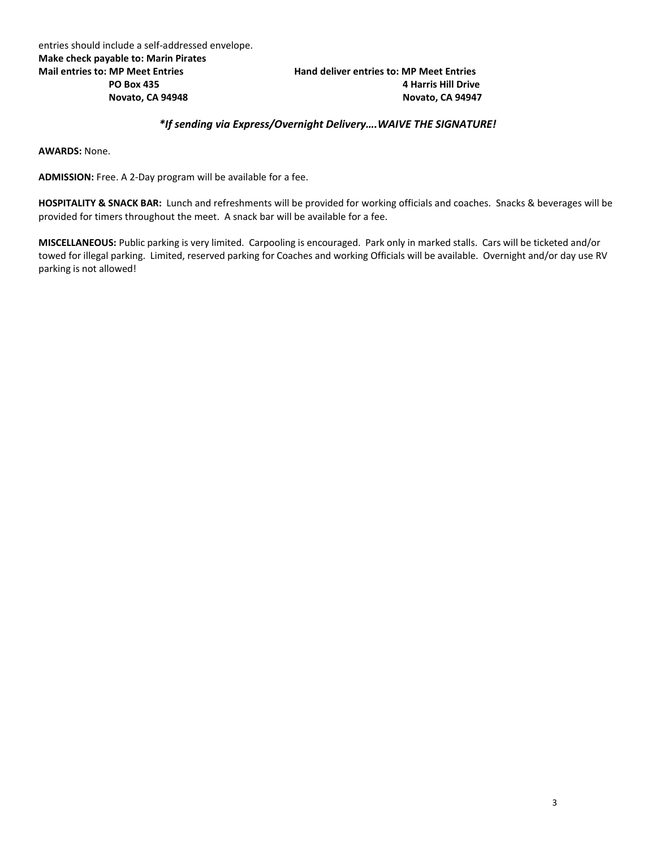## **PO Box 435 4 Harris Hill Drive Novato, CA 94948 Novato, CA 94947**

## *\*If sending via Express/Overnight Delivery….WAIVE THE SIGNATURE!*

**AWARDS:** None.

**ADMISSION:** Free. A 2-Day program will be available for a fee.

**HOSPITALITY & SNACK BAR:** Lunch and refreshments will be provided for working officials and coaches. Snacks & beverages will be provided for timers throughout the meet. A snack bar will be available for a fee.

**MISCELLANEOUS:** Public parking is very limited. Carpooling is encouraged. Park only in marked stalls. Cars will be ticketed and/or towed for illegal parking. Limited, reserved parking for Coaches and working Officials will be available. Overnight and/or day use RV parking is not allowed!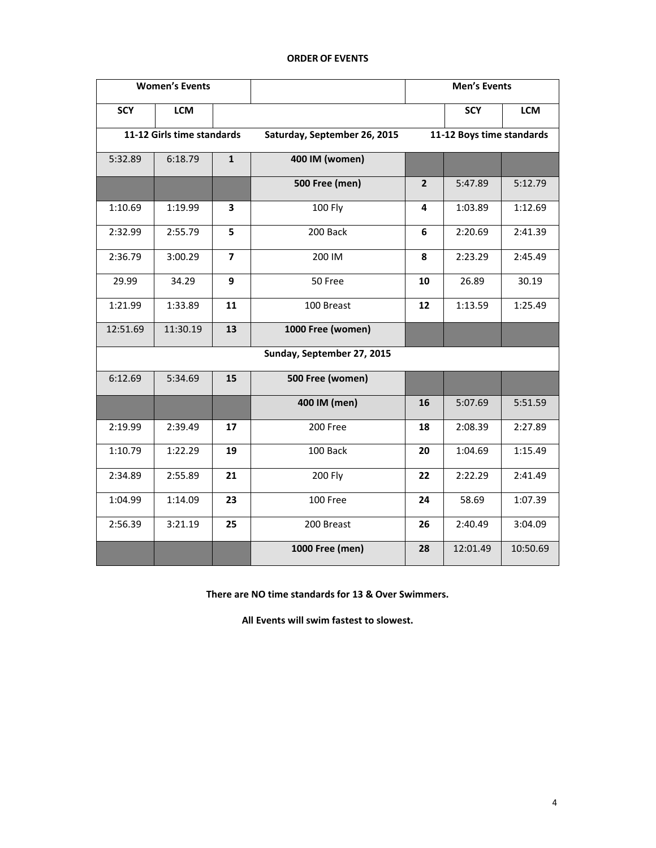## **Women's Events Men's Events SCY LCM SCY LCM 11-12 Girls time standards Saturday, September 26, 2015 11-12 Boys time standards** 5:32.89 6:18.79 **1 400 IM (women) 500 Free (men)** <br>**2 5:47.89 5:12.79** 1:10.69 1:19.99 **3** 100 Fly **4** 1:03.89 1:12.69 2:32.99 2:55.79 **5** 200 Back **6** 2:20.69 2:41.39 2:36.79 3:00.29 **7** 200 IM **8** 2:23.29 2:45.49 29.99 34.29 **9** 50 Free **10** 26.89 30.19 1:21.99 1:33.89 **11** 100 Breast **12** 1:13.59 1:25.49 12:51.69 11:30.19 **13 1000 Free (women) Sunday, September 27, 2015** 6:12.69 5:34.69 **15 500 Free (women) 400 IM (men) 16** 5:07.69 5:51.59 2:19.99 2:39.49 **17** 200 Free **18** 2:08.39 2:27.89 1:10.79 1:22.29 **19** 100 Back **20** 1:04.69 1:15.49 2:34.89 2:55.89 **21** 200 Fly **22** 2:22.29 2:41.49 1:04.99 1:14.09 **23** 100 Free **24** 58.69 1:07.39 2:56.39 3:21.19 **25** 200 Breast **26** 2:40.49 3:04.09 **1000 Free (men) 28** 12:01.49 10:50.69

## **ORDER OF EVENTS**

**There are NO time standards for 13 & Over Swimmers.**

**All Events will swim fastest to slowest.**